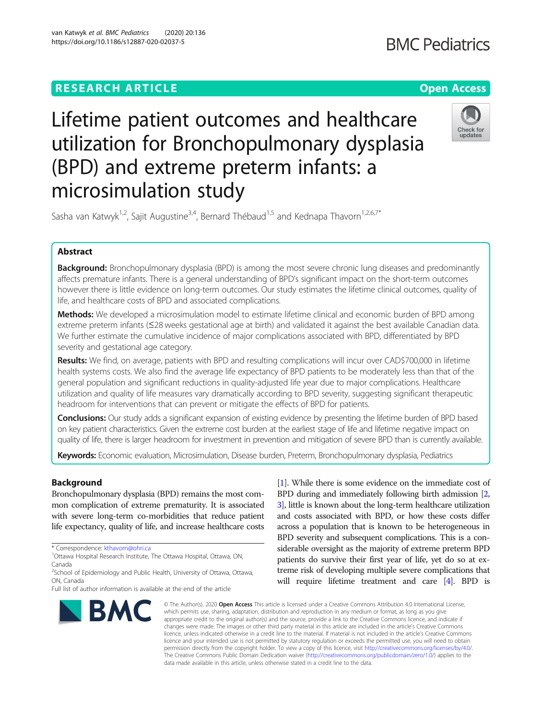van Katwyk et al. BMC Pediatrics (2020) 20:136 https://doi.org/10.1186/s12887-020-02037-5

microsimulation study

# Check for undates

Sasha van Katwyk<sup>1,2</sup>, Sajit Augustine<sup>3,4</sup>, Bernard Thébaud<sup>1,5</sup> and Kednapa Thavorn<sup>1,2,6,7\*</sup>

(BPD) and extreme preterm infants: a

Lifetime patient outcomes and healthcare

utilization for Bronchopulmonary dysplasia

# Abstract

Background: Bronchopulmonary dysplasia (BPD) is among the most severe chronic lung diseases and predominantly affects premature infants. There is a general understanding of BPD's significant impact on the short-term outcomes however there is little evidence on long-term outcomes. Our study estimates the lifetime clinical outcomes, quality of life, and healthcare costs of BPD and associated complications.

**Methods:** We developed a microsimulation model to estimate lifetime clinical and economic burden of BPD among extreme preterm infants (≤28 weeks gestational age at birth) and validated it against the best available Canadian data. We further estimate the cumulative incidence of major complications associated with BPD, differentiated by BPD severity and gestational age category.

Results: We find, on average, patients with BPD and resulting complications will incur over CAD\$700,000 in lifetime health systems costs. We also find the average life expectancy of BPD patients to be moderately less than that of the general population and significant reductions in quality-adjusted life year due to major complications. Healthcare utilization and quality of life measures vary dramatically according to BPD severity, suggesting significant therapeutic headroom for interventions that can prevent or mitigate the effects of BPD for patients.

Conclusions: Our study adds a significant expansion of existing evidence by presenting the lifetime burden of BPD based on key patient characteristics. Given the extreme cost burden at the earliest stage of life and lifetime negative impact on quality of life, there is larger headroom for investment in prevention and mitigation of severe BPD than is currently available.

Keywords: Economic evaluation, Microsimulation, Disease burden, Preterm, Bronchopulmonary dysplasia, Pediatrics

# Background

Bronchopulmonary dysplasia (BPD) remains the most common complication of extreme prematurity. It is associated with severe long-term co-morbidities that reduce patient life expectancy, quality of life, and increase healthcare costs

\* Correspondence: [kthavorn@ohri.ca](mailto:kthavorn@ohri.ca) <sup>1</sup>

Full list of author information is available at the end of the article



[[1](#page-9-0)]. While there is some evidence on the immediate cost of BPD during and immediately following birth admission [[2](#page-9-0), [3](#page-9-0)], little is known about the long-term healthcare utilization and costs associated with BPD, or how these costs differ across a population that is known to be heterogeneous in BPD severity and subsequent complications. This is a considerable oversight as the majority of extreme preterm BPD patients do survive their first year of life, yet do so at extreme risk of developing multiple severe complications that will require lifetime treatment and care [[4](#page-9-0)]. BPD is

© The Author(s), 2020 **Open Access** This article is licensed under a Creative Commons Attribution 4.0 International License, which permits use, sharing, adaptation, distribution and reproduction in any medium or format, as long as you give appropriate credit to the original author(s) and the source, provide a link to the Creative Commons licence, and indicate if changes were made. The images or other third party material in this article are included in the article's Creative Commons licence, unless indicated otherwise in a credit line to the material. If material is not included in the article's Creative Commons licence and your intended use is not permitted by statutory regulation or exceeds the permitted use, you will need to obtain permission directly from the copyright holder. To view a copy of this licence, visit [http://creativecommons.org/licenses/by/4.0/.](http://creativecommons.org/licenses/by/4.0/) The Creative Commons Public Domain Dedication waiver [\(http://creativecommons.org/publicdomain/zero/1.0/](http://creativecommons.org/publicdomain/zero/1.0/)) applies to the data made available in this article, unless otherwise stated in a credit line to the data.

<sup>&</sup>lt;sup>1</sup>Ottawa Hospital Research Institute, The Ottawa Hospital, Ottawa, ON, Canada

<sup>&</sup>lt;sup>2</sup>School of Epidemiology and Public Health, University of Ottawa, Ottawa, ON, Canada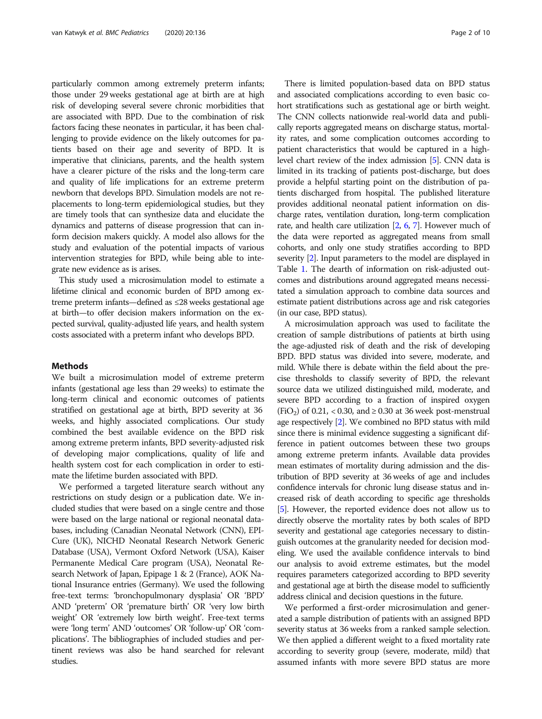particularly common among extremely preterm infants; those under 29 weeks gestational age at birth are at high risk of developing several severe chronic morbidities that are associated with BPD. Due to the combination of risk factors facing these neonates in particular, it has been challenging to provide evidence on the likely outcomes for patients based on their age and severity of BPD. It is imperative that clinicians, parents, and the health system have a clearer picture of the risks and the long-term care and quality of life implications for an extreme preterm newborn that develops BPD. Simulation models are not replacements to long-term epidemiological studies, but they are timely tools that can synthesize data and elucidate the dynamics and patterns of disease progression that can inform decision makers quickly. A model also allows for the study and evaluation of the potential impacts of various intervention strategies for BPD, while being able to integrate new evidence as is arises.

This study used a microsimulation model to estimate a lifetime clinical and economic burden of BPD among extreme preterm infants—defined as ≤28 weeks gestational age at birth—to offer decision makers information on the expected survival, quality-adjusted life years, and health system costs associated with a preterm infant who develops BPD.

### Methods

We built a microsimulation model of extreme preterm infants (gestational age less than 29 weeks) to estimate the long-term clinical and economic outcomes of patients stratified on gestational age at birth, BPD severity at 36 weeks, and highly associated complications. Our study combined the best available evidence on the BPD risk among extreme preterm infants, BPD severity-adjusted risk of developing major complications, quality of life and health system cost for each complication in order to estimate the lifetime burden associated with BPD.

We performed a targeted literature search without any restrictions on study design or a publication date. We included studies that were based on a single centre and those were based on the large national or regional neonatal databases, including (Canadian Neonatal Network (CNN), EPI-Cure (UK), NICHD Neonatal Research Network Generic Database (USA), Vermont Oxford Network (USA), Kaiser Permanente Medical Care program (USA), Neonatal Research Network of Japan, Epipage 1 & 2 (France), AOK National Insurance entries (Germany). We used the following free-text terms: 'bronchopulmonary dysplasia' OR 'BPD' AND 'preterm' OR 'premature birth' OR 'very low birth weight' OR 'extremely low birth weight'. Free-text terms were 'long term' AND 'outcomes' OR 'follow-up' OR 'complications'. The bibliographies of included studies and pertinent reviews was also be hand searched for relevant studies.

There is limited population-based data on BPD status and associated complications according to even basic cohort stratifications such as gestational age or birth weight. The CNN collects nationwide real-world data and publically reports aggregated means on discharge status, mortality rates, and some complication outcomes according to patient characteristics that would be captured in a highlevel chart review of the index admission [\[5\]](#page-9-0). CNN data is limited in its tracking of patients post-discharge, but does provide a helpful starting point on the distribution of patients discharged from hospital. The published literature provides additional neonatal patient information on discharge rates, ventilation duration, long-term complication rate, and health care utilization  $[2, 6, 7]$  $[2, 6, 7]$  $[2, 6, 7]$  $[2, 6, 7]$  $[2, 6, 7]$ . However much of the data were reported as aggregated means from small cohorts, and only one study stratifies according to BPD severity [\[2\]](#page-9-0). Input parameters to the model are displayed in Table [1.](#page-2-0) The dearth of information on risk-adjusted outcomes and distributions around aggregated means necessitated a simulation approach to combine data sources and estimate patient distributions across age and risk categories (in our case, BPD status).

A microsimulation approach was used to facilitate the creation of sample distributions of patients at birth using the age-adjusted risk of death and the risk of developing BPD. BPD status was divided into severe, moderate, and mild. While there is debate within the field about the precise thresholds to classify severity of BPD, the relevant source data we utilized distinguished mild, moderate, and severe BPD according to a fraction of inspired oxygen (FiO<sub>2</sub>) of 0.21, < 0.30, and  $\geq$  0.30 at 36 week post-menstrual age respectively [\[2\]](#page-9-0). We combined no BPD status with mild since there is minimal evidence suggesting a significant difference in patient outcomes between these two groups among extreme preterm infants. Available data provides mean estimates of mortality during admission and the distribution of BPD severity at 36 weeks of age and includes confidence intervals for chronic lung disease status and increased risk of death according to specific age thresholds [[5](#page-9-0)]. However, the reported evidence does not allow us to directly observe the mortality rates by both scales of BPD severity and gestational age categories necessary to distinguish outcomes at the granularity needed for decision modeling. We used the available confidence intervals to bind our analysis to avoid extreme estimates, but the model requires parameters categorized according to BPD severity and gestational age at birth the disease model to sufficiently address clinical and decision questions in the future.

We performed a first-order microsimulation and generated a sample distribution of patients with an assigned BPD severity status at 36 weeks from a ranked sample selection. We then applied a different weight to a fixed mortality rate according to severity group (severe, moderate, mild) that assumed infants with more severe BPD status are more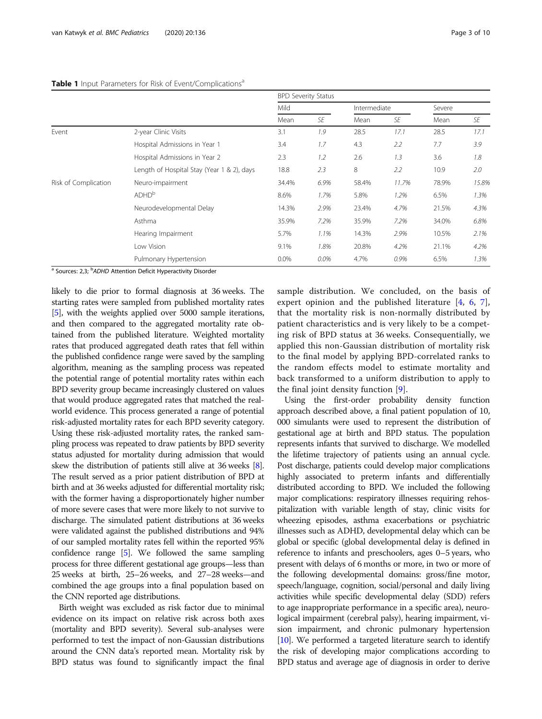#### <span id="page-2-0"></span>Table 1 Input Parameters for Risk of Event/Complications<sup>a</sup>

|                      |                                            | <b>BPD Severity Status</b> |      |                                               |       |        |       |
|----------------------|--------------------------------------------|----------------------------|------|-----------------------------------------------|-------|--------|-------|
|                      |                                            | Mild                       |      | Intermediate                                  |       | Severe |       |
|                      |                                            | Mean                       | SE   | Mean                                          | SE    | Mean   | SE    |
| Event                | 2-year Clinic Visits                       | 3.1                        | 1.9  | 28.5                                          | 17.1  | 28.5   | 17.1  |
|                      | Hospital Admissions in Year 1              | 3.4                        | 1.7  | 4.3<br>2.2<br>2.6<br>1.3<br>8<br>2.2<br>58.4% |       | 7.7    | 3.9   |
|                      | Hospital Admissions in Year 2              | 2.3                        | 1.2  |                                               |       | 3.6    | 1.8   |
|                      | Length of Hospital Stay (Year 1 & 2), days | 18.8                       | 2.3  |                                               |       | 10.9   | 2.0   |
| Risk of Complication | Neuro-impairment                           | 34.4%                      | 6.9% |                                               | 11.7% | 78.9%  | 15.8% |
|                      | <b>ADHD</b> <sup>b</sup>                   | 8.6%                       | 1.7% | 5.8%                                          | 1.2%  | 6.5%   | 1.3%  |
|                      | Neurodevelopmental Delay                   | 14.3%                      | 2.9% | 23.4%                                         | 4.7%  | 21.5%  | 4.3%  |
|                      | Asthma                                     | 35.9%                      | 7.2% | 35.9%                                         | 7.2%  | 34.0%  | 6.8%  |
|                      | Hearing Impairment                         | 5.7%                       | 1.1% | 14.3%                                         | 2.9%  | 10.5%  | 2.1%  |
|                      | Low Vision                                 | 9.1%                       | 1.8% | 20.8%                                         | 4.2%  | 21.1%  | 4.2%  |
|                      | Pulmonary Hypertension                     | 0.0%                       | 0.0% | 4.7%                                          | 0.9%  | 6.5%   | 1.3%  |

<sup>a</sup> Sources: 2,3; <sup>b</sup>ADHD Attention Deficit Hyperactivity Disorder

likely to die prior to formal diagnosis at 36 weeks. The starting rates were sampled from published mortality rates [[5](#page-9-0)], with the weights applied over 5000 sample iterations, and then compared to the aggregated mortality rate obtained from the published literature. Weighted mortality rates that produced aggregated death rates that fell within the published confidence range were saved by the sampling algorithm, meaning as the sampling process was repeated the potential range of potential mortality rates within each BPD severity group became increasingly clustered on values that would produce aggregated rates that matched the realworld evidence. This process generated a range of potential risk-adjusted mortality rates for each BPD severity category. Using these risk-adjusted mortality rates, the ranked sampling process was repeated to draw patients by BPD severity status adjusted for mortality during admission that would skew the distribution of patients still alive at 36 weeks [[8](#page-9-0)]. The result served as a prior patient distribution of BPD at birth and at 36 weeks adjusted for differential mortality risk; with the former having a disproportionately higher number of more severe cases that were more likely to not survive to discharge. The simulated patient distributions at 36 weeks were validated against the published distributions and 94% of our sampled mortality rates fell within the reported 95% confidence range [[5](#page-9-0)]. We followed the same sampling process for three different gestational age groups—less than 25 weeks at birth, 25–26 weeks, and 27–28 weeks—and combined the age groups into a final population based on the CNN reported age distributions.

Birth weight was excluded as risk factor due to minimal evidence on its impact on relative risk across both axes (mortality and BPD severity). Several sub-analyses were performed to test the impact of non-Gaussian distributions around the CNN data's reported mean. Mortality risk by BPD status was found to significantly impact the final

sample distribution. We concluded, on the basis of expert opinion and the published literature  $[4, 6, 7]$  $[4, 6, 7]$  $[4, 6, 7]$  $[4, 6, 7]$  $[4, 6, 7]$  $[4, 6, 7]$  $[4, 6, 7]$ , that the mortality risk is non-normally distributed by patient characteristics and is very likely to be a competing risk of BPD status at 36 weeks. Consequentially, we applied this non-Gaussian distribution of mortality risk to the final model by applying BPD-correlated ranks to the random effects model to estimate mortality and back transformed to a uniform distribution to apply to the final joint density function [[9\]](#page-9-0).

Using the first-order probability density function approach described above, a final patient population of 10, 000 simulants were used to represent the distribution of gestational age at birth and BPD status. The population represents infants that survived to discharge. We modelled the lifetime trajectory of patients using an annual cycle. Post discharge, patients could develop major complications highly associated to preterm infants and differentially distributed according to BPD. We included the following major complications: respiratory illnesses requiring rehospitalization with variable length of stay, clinic visits for wheezing episodes, asthma exacerbations or psychiatric illnesses such as ADHD, developmental delay which can be global or specific (global developmental delay is defined in reference to infants and preschoolers, ages 0–5 years, who present with delays of 6 months or more, in two or more of the following developmental domains: gross/fine motor, speech/language, cognition, social/personal and daily living activities while specific developmental delay (SDD) refers to age inappropriate performance in a specific area), neurological impairment (cerebral palsy), hearing impairment, vision impairment, and chronic pulmonary hypertension [[10](#page-9-0)]. We performed a targeted literature search to identify the risk of developing major complications according to BPD status and average age of diagnosis in order to derive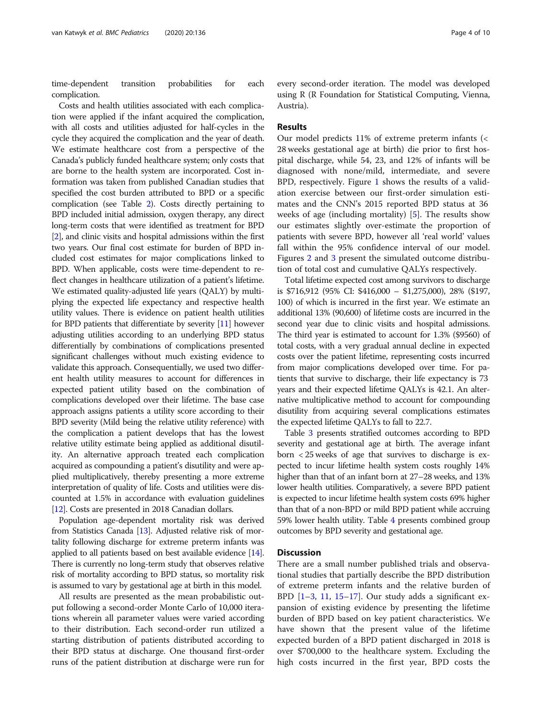time-dependent transition probabilities for each complication.

Costs and health utilities associated with each complication were applied if the infant acquired the complication, with all costs and utilities adjusted for half-cycles in the cycle they acquired the complication and the year of death. We estimate healthcare cost from a perspective of the Canada's publicly funded healthcare system; only costs that are borne to the health system are incorporated. Cost information was taken from published Canadian studies that specified the cost burden attributed to BPD or a specific complication (see Table [2\)](#page-4-0). Costs directly pertaining to BPD included initial admission, oxygen therapy, any direct long-term costs that were identified as treatment for BPD [[2](#page-9-0)], and clinic visits and hospital admissions within the first two years. Our final cost estimate for burden of BPD included cost estimates for major complications linked to BPD. When applicable, costs were time-dependent to reflect changes in healthcare utilization of a patient's lifetime. We estimated quality-adjusted life years (QALY) by multiplying the expected life expectancy and respective health utility values. There is evidence on patient health utilities for BPD patients that differentiate by severity [[11](#page-9-0)] however adjusting utilities according to an underlying BPD status differentially by combinations of complications presented significant challenges without much existing evidence to validate this approach. Consequentially, we used two different health utility measures to account for differences in expected patient utility based on the combination of complications developed over their lifetime. The base case approach assigns patients a utility score according to their BPD severity (Mild being the relative utility reference) with the complication a patient develops that has the lowest relative utility estimate being applied as additional disutility. An alternative approach treated each complication acquired as compounding a patient's disutility and were applied multiplicatively, thereby presenting a more extreme interpretation of quality of life. Costs and utilities were discounted at 1.5% in accordance with evaluation guidelines [[12](#page-9-0)]. Costs are presented in 2018 Canadian dollars.

Population age-dependent mortality risk was derived from Statistics Canada [\[13\]](#page-9-0). Adjusted relative risk of mortality following discharge for extreme preterm infants was applied to all patients based on best available evidence [\[14](#page-9-0)]. There is currently no long-term study that observes relative risk of mortality according to BPD status, so mortality risk is assumed to vary by gestational age at birth in this model.

All results are presented as the mean probabilistic output following a second-order Monte Carlo of 10,000 iterations wherein all parameter values were varied according to their distribution. Each second-order run utilized a starting distribution of patients distributed according to their BPD status at discharge. One thousand first-order runs of the patient distribution at discharge were run for every second-order iteration. The model was developed using R (R Foundation for Statistical Computing, Vienna, Austria).

#### Results

Our model predicts 11% of extreme preterm infants (< 28 weeks gestational age at birth) die prior to first hospital discharge, while 54, 23, and 12% of infants will be diagnosed with none/mild, intermediate, and severe BPD, respectively. Figure [1](#page-5-0) shows the results of a validation exercise between our first-order simulation estimates and the CNN's 2015 reported BPD status at 36 weeks of age (including mortality) [\[5](#page-9-0)]. The results show our estimates slightly over-estimate the proportion of patients with severe BPD, however all 'real world' values fall within the 95% confidence interval of our model. Figures [2](#page-5-0) and [3](#page-6-0) present the simulated outcome distribution of total cost and cumulative QALYs respectively.

Total lifetime expected cost among survivors to discharge is \$716,912 (95% CI: \$416,000 – \$1,275,000), 28% (\$197, 100) of which is incurred in the first year. We estimate an additional 13% (90,600) of lifetime costs are incurred in the second year due to clinic visits and hospital admissions. The third year is estimated to account for 1.3% (\$9560) of total costs, with a very gradual annual decline in expected costs over the patient lifetime, representing costs incurred from major complications developed over time. For patients that survive to discharge, their life expectancy is 73 years and their expected lifetime QALYs is 42.1. An alternative multiplicative method to account for compounding disutility from acquiring several complications estimates the expected lifetime QALYs to fall to 22.7.

Table [3](#page-6-0) presents stratified outcomes according to BPD severity and gestational age at birth. The average infant born < 25 weeks of age that survives to discharge is expected to incur lifetime health system costs roughly 14% higher than that of an infant born at 27–28 weeks, and 13% lower health utilities. Comparatively, a severe BPD patient is expected to incur lifetime health system costs 69% higher than that of a non-BPD or mild BPD patient while accruing 59% lower health utility. Table [4](#page-7-0) presents combined group outcomes by BPD severity and gestational age.

#### **Discussion**

There are a small number published trials and observational studies that partially describe the BPD distribution of extreme preterm infants and the relative burden of BPD  $[1-3, 11, 15-17]$  $[1-3, 11, 15-17]$  $[1-3, 11, 15-17]$  $[1-3, 11, 15-17]$  $[1-3, 11, 15-17]$  $[1-3, 11, 15-17]$  $[1-3, 11, 15-17]$  $[1-3, 11, 15-17]$  $[1-3, 11, 15-17]$ . Our study adds a significant expansion of existing evidence by presenting the lifetime burden of BPD based on key patient characteristics. We have shown that the present value of the lifetime expected burden of a BPD patient discharged in 2018 is over \$700,000 to the healthcare system. Excluding the high costs incurred in the first year, BPD costs the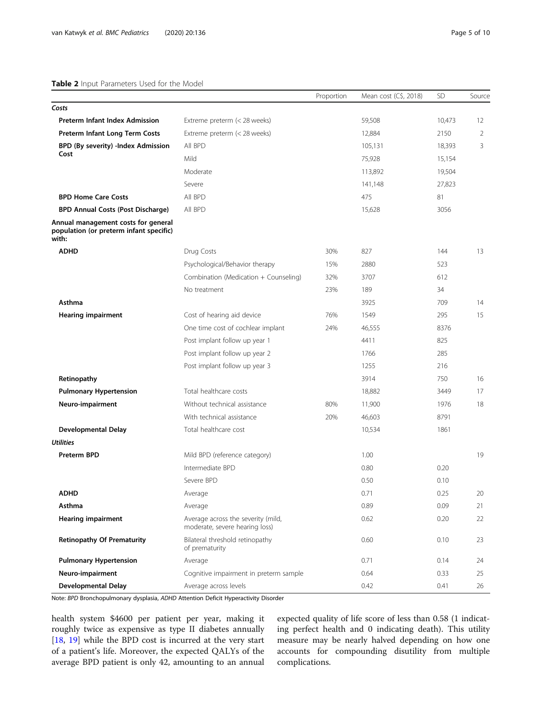#### <span id="page-4-0"></span>Table 2 Input Parameters Used for the Model

|                                                                                         |                                                                      | Proportion | Mean cost (C\$, 2018) | <b>SD</b> | Source |
|-----------------------------------------------------------------------------------------|----------------------------------------------------------------------|------------|-----------------------|-----------|--------|
| Costs                                                                                   |                                                                      |            |                       |           |        |
| <b>Preterm Infant Index Admission</b>                                                   | Extreme preterm (< 28 weeks)                                         |            | 59,508                | 10,473    | 12     |
| Preterm Infant Long Term Costs                                                          | Extreme preterm (< 28 weeks)                                         |            | 12,884                | 2150      | 2      |
| BPD (By severity) -Index Admission                                                      | All BPD                                                              |            | 105,131               | 18,393    | 3      |
| Cost                                                                                    | Mild                                                                 |            | 75,928                | 15,154    |        |
|                                                                                         | Moderate                                                             |            | 113,892               | 19,504    |        |
|                                                                                         | Severe                                                               |            | 141,148               | 27,823    |        |
| <b>BPD Home Care Costs</b>                                                              | All BPD                                                              |            | 475                   | 81        |        |
| <b>BPD Annual Costs (Post Discharge)</b>                                                | All BPD                                                              |            | 15,628                | 3056      |        |
| Annual management costs for general<br>population (or preterm infant specific)<br>with: |                                                                      |            |                       |           |        |
| <b>ADHD</b>                                                                             | Drug Costs                                                           | 30%        | 827                   | 144       | 13     |
|                                                                                         | Psychological/Behavior therapy                                       | 15%        | 2880                  | 523       |        |
|                                                                                         | Combination (Medication + Counseling)                                | 32%        | 3707                  | 612       |        |
|                                                                                         | No treatment                                                         | 23%        | 189                   | 34        |        |
| Asthma                                                                                  |                                                                      |            | 3925                  | 709       | 14     |
| <b>Hearing impairment</b>                                                               | Cost of hearing aid device                                           | 76%        | 1549                  | 295       | 15     |
|                                                                                         | One time cost of cochlear implant                                    | 24%        | 46,555                | 8376      |        |
|                                                                                         | Post implant follow up year 1                                        |            | 4411                  | 825       |        |
|                                                                                         | Post implant follow up year 2                                        |            | 1766                  | 285       |        |
|                                                                                         | Post implant follow up year 3                                        |            | 1255                  | 216       |        |
| Retinopathy                                                                             |                                                                      |            | 3914                  | 750       | 16     |
| <b>Pulmonary Hypertension</b>                                                           | Total healthcare costs                                               |            | 18,882                | 3449      | 17     |
| Neuro-impairment                                                                        | Without technical assistance                                         | 80%        | 11,900                | 1976      | 18     |
|                                                                                         | With technical assistance                                            | 20%        | 46,603                | 8791      |        |
| <b>Developmental Delay</b>                                                              | Total healthcare cost                                                |            | 10,534                | 1861      |        |
| <b>Utilities</b>                                                                        |                                                                      |            |                       |           |        |
| <b>Preterm BPD</b>                                                                      | Mild BPD (reference category)                                        |            | 1.00                  |           | 19     |
|                                                                                         | Intermediate BPD                                                     |            | 0.80                  | 0.20      |        |
|                                                                                         | Severe BPD                                                           |            | 0.50                  | 0.10      |        |
| <b>ADHD</b>                                                                             | Average                                                              |            | 0.71                  | 0.25      | 20     |
| Asthma                                                                                  | Average                                                              |            | 0.89                  | 0.09      | 21     |
| <b>Hearing impairment</b>                                                               | Average across the severity (mild,<br>moderate, severe hearing loss) |            | 0.62                  | 0.20      | 22     |
| <b>Retinopathy Of Prematurity</b>                                                       | Bilateral threshold retinopathy<br>of prematurity                    |            | 0.60                  | 0.10      | 23     |
| <b>Pulmonary Hypertension</b>                                                           | Average                                                              |            | 0.71                  | 0.14      | 24     |
| Neuro-impairment                                                                        | Cognitive impairment in preterm sample                               |            | 0.64                  | 0.33      | 25     |
| <b>Developmental Delay</b>                                                              | Average across levels                                                |            | 0.42                  | 0.41      | 26     |

Note: BPD Bronchopulmonary dysplasia, ADHD Attention Deficit Hyperactivity Disorder

health system \$4600 per patient per year, making it roughly twice as expensive as type II diabetes annually [[18,](#page-9-0) [19](#page-9-0)] while the BPD cost is incurred at the very start of a patient's life. Moreover, the expected QALYs of the average BPD patient is only 42, amounting to an annual expected quality of life score of less than 0.58 (1 indicating perfect health and 0 indicating death). This utility measure may be nearly halved depending on how one accounts for compounding disutility from multiple complications.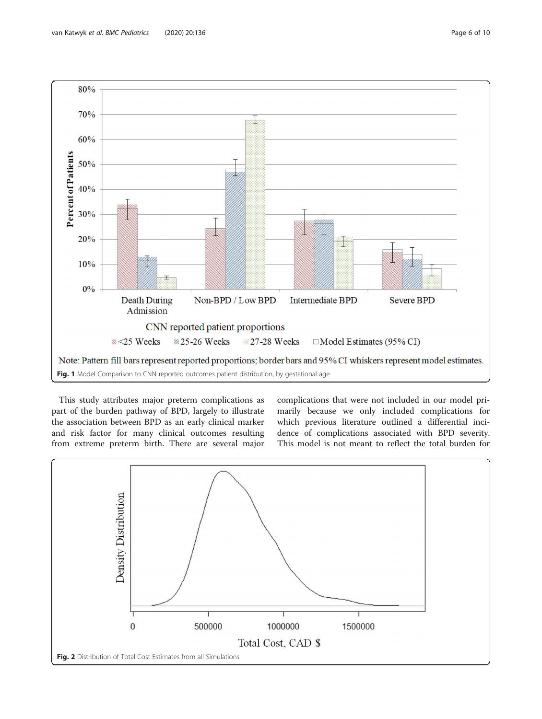<span id="page-5-0"></span>

This study attributes major preterm complications as part of the burden pathway of BPD, largely to illustrate the association between BPD as an early clinical marker and risk factor for many clinical outcomes resulting from extreme preterm birth. There are several major complications that were not included in our model primarily because we only included complications for which previous literature outlined a differential incidence of complications associated with BPD severity. This model is not meant to reflect the total burden for

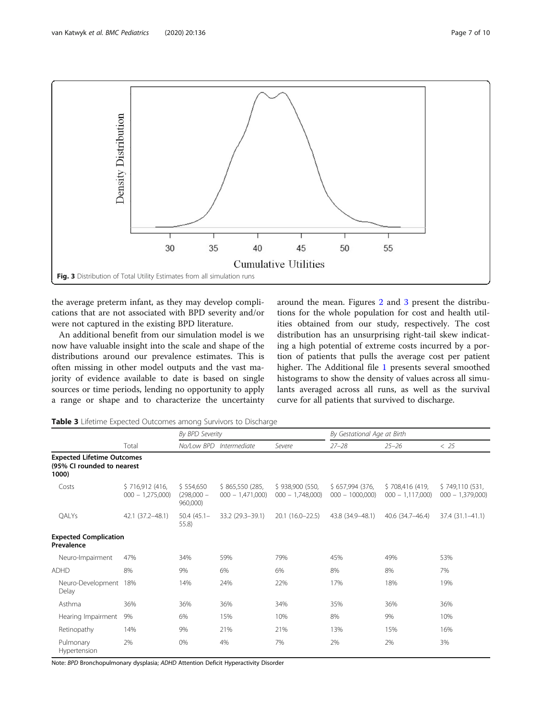<span id="page-6-0"></span>

the average preterm infant, as they may develop complications that are not associated with BPD severity and/or were not captured in the existing BPD literature.

An additional benefit from our simulation model is we now have valuable insight into the scale and shape of the distributions around our prevalence estimates. This is often missing in other model outputs and the vast majority of evidence available to date is based on single sources or time periods, lending no opportunity to apply a range or shape and to characterize the uncertainty around the mean. Figures [2](#page-5-0) and 3 present the distributions for the whole population for cost and health utilities obtained from our study, respectively. The cost distribution has an unsurprising right-tail skew indicating a high potential of extreme costs incurred by a portion of patients that pulls the average cost per patient higher. The Additional file [1](#page-8-0) presents several smoothed histograms to show the density of values across all simulants averaged across all runs, as well as the survival curve for all patients that survived to discharge.

Table 3 Lifetime Expected Outcomes among Survivors to Discharge

|                                                                          |                                     | By BPD Severity                       |                                     |                                      | By Gestational Age at Birth        |                                     |                                     |
|--------------------------------------------------------------------------|-------------------------------------|---------------------------------------|-------------------------------------|--------------------------------------|------------------------------------|-------------------------------------|-------------------------------------|
|                                                                          | Total                               |                                       | No/Low BPD Intermediate             | Severe                               | $27 - 28$                          | $25 - 26$                           | < 25                                |
| <b>Expected Lifetime Outcomes</b><br>(95% CI rounded to nearest<br>1000) |                                     |                                       |                                     |                                      |                                    |                                     |                                     |
| Costs                                                                    | \$716,912(416,<br>$000 - 1,275,000$ | \$554,650<br>$(298,000 -$<br>960,000) | \$865,550(285,<br>$000 - 1,471,000$ | \$938,900 (550,<br>$000 - 1,748,000$ | \$657,994(376,<br>$000 - 1000,000$ | \$708,416(419,<br>$000 - 1,117,000$ | \$749,110(531,<br>$000 - 1,379,000$ |
| QALYs                                                                    | 42.1 (37.2-48.1)                    | $50.4(45.1-$<br>55.8                  | 33.2 (29.3-39.1)                    | 20.1 (16.0-22.5)                     | 43.8 (34.9-48.1)                   | 40.6 (34.7-46.4)                    | $37.4(31.1 - 41.1)$                 |
| <b>Expected Complication</b><br>Prevalence                               |                                     |                                       |                                     |                                      |                                    |                                     |                                     |
| Neuro-Impairment                                                         | 47%                                 | 34%                                   | 59%                                 | 79%                                  | 45%                                | 49%                                 | 53%                                 |
| <b>ADHD</b>                                                              | 8%                                  | 9%                                    | 6%                                  | 6%                                   | 8%                                 | 8%                                  | 7%                                  |
| Neuro-Development<br>Delay                                               | 18%                                 | 14%                                   | 24%                                 | 22%                                  | 17%                                | 18%                                 | 19%                                 |
| Asthma                                                                   | 36%                                 | 36%                                   | 36%                                 | 34%                                  | 35%                                | 36%                                 | 36%                                 |
| Hearing Impairment                                                       | 9%                                  | 6%                                    | 15%                                 | 10%                                  | 8%                                 | 9%                                  | 10%                                 |
| Retinopathy                                                              | 14%                                 | 9%                                    | 21%                                 | 21%                                  | 13%                                | 15%                                 | 16%                                 |
| Pulmonary<br>Hypertension                                                | 2%                                  | 0%                                    | 4%                                  | 7%                                   | 7%                                 | 7%                                  | 3%                                  |

Note: BPD Bronchopulmonary dysplasia; ADHD Attention Deficit Hyperactivity Disorder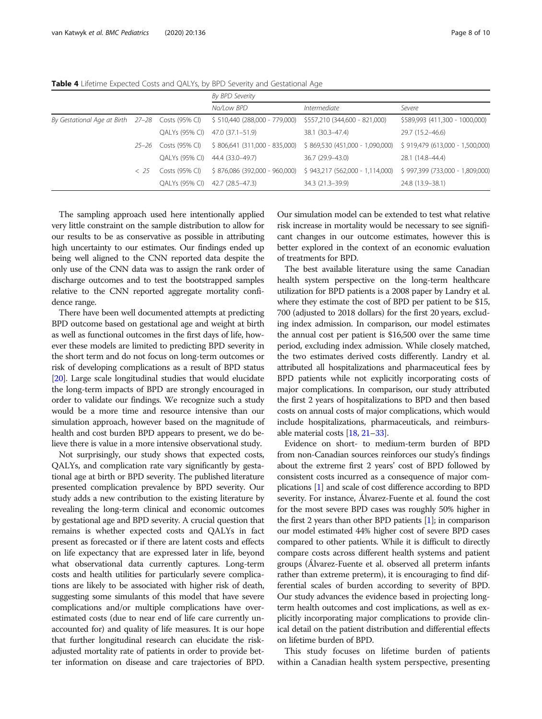<span id="page-7-0"></span>Table 4 Lifetime Expected Costs and QALYs, by BPD Severity and Gestational Age

|                                                  |      |                      | By BPD Severity                 |                                                                 |                                 |  |
|--------------------------------------------------|------|----------------------|---------------------------------|-----------------------------------------------------------------|---------------------------------|--|
|                                                  |      |                      | No/Low BPD                      | Intermediate                                                    | Severe                          |  |
| By Gestational Age at Birth 27–28 Costs (95% CI) |      |                      | \$510,440 (288,000 - 779,000)   | \$557,210 (344,600 - 821,000)                                   | \$589,993 (411,300 - 1000,000)  |  |
|                                                  |      |                      | QALYs (95% CI) 47.0 (37.1-51.9) | 38.1 (30.3-47.4)                                                | 29.7 (15.2-46.6)                |  |
|                                                  |      | 25–26 Costs (95% CI) | \$806,641 (311,000 - 835,000)   | $$869,530(451,000 - 1,090,000)$                                 | \$919,479 (613,000 - 1,500,000) |  |
|                                                  |      | QALYs (95% CI)       | 44.4 (33.0-49.7)                | 36.7 (29.9–43.0)                                                | 28.1 (14.8–44.4)                |  |
|                                                  | < 25 | Costs (95% CI)       | \$876,086 (392,000 - 960,000)   | \$943,217 (562,000 - 1,114,000) \$997,399 (733,000 - 1,809,000) |                                 |  |
|                                                  |      | QALYs (95% CI)       | 42.7 (28.5–47.3)                | 34.3 (21.3–39.9)                                                | 24.8 (13.9–38.1)                |  |

The sampling approach used here intentionally applied very little constraint on the sample distribution to allow for our results to be as conservative as possible in attributing high uncertainty to our estimates. Our findings ended up being well aligned to the CNN reported data despite the only use of the CNN data was to assign the rank order of discharge outcomes and to test the bootstrapped samples relative to the CNN reported aggregate mortality confidence range.

There have been well documented attempts at predicting BPD outcome based on gestational age and weight at birth as well as functional outcomes in the first days of life, however these models are limited to predicting BPD severity in the short term and do not focus on long-term outcomes or risk of developing complications as a result of BPD status [[20](#page-9-0)]. Large scale longitudinal studies that would elucidate the long-term impacts of BPD are strongly encouraged in order to validate our findings. We recognize such a study would be a more time and resource intensive than our simulation approach, however based on the magnitude of health and cost burden BPD appears to present, we do believe there is value in a more intensive observational study.

Not surprisingly, our study shows that expected costs, QALYs, and complication rate vary significantly by gestational age at birth or BPD severity. The published literature presented complication prevalence by BPD severity. Our study adds a new contribution to the existing literature by revealing the long-term clinical and economic outcomes by gestational age and BPD severity. A crucial question that remains is whether expected costs and QALYs in fact present as forecasted or if there are latent costs and effects on life expectancy that are expressed later in life, beyond what observational data currently captures. Long-term costs and health utilities for particularly severe complications are likely to be associated with higher risk of death, suggesting some simulants of this model that have severe complications and/or multiple complications have overestimated costs (due to near end of life care currently unaccounted for) and quality of life measures. It is our hope that further longitudinal research can elucidate the riskadjusted mortality rate of patients in order to provide better information on disease and care trajectories of BPD.

Our simulation model can be extended to test what relative risk increase in mortality would be necessary to see significant changes in our outcome estimates, however this is better explored in the context of an economic evaluation of treatments for BPD.

The best available literature using the same Canadian health system perspective on the long-term healthcare utilization for BPD patients is a 2008 paper by Landry et al. where they estimate the cost of BPD per patient to be \$15, 700 (adjusted to 2018 dollars) for the first 20 years, excluding index admission. In comparison, our model estimates the annual cost per patient is \$16,500 over the same time period, excluding index admission. While closely matched, the two estimates derived costs differently. Landry et al. attributed all hospitalizations and pharmaceutical fees by BPD patients while not explicitly incorporating costs of major complications. In comparison, our study attributed the first 2 years of hospitalizations to BPD and then based costs on annual costs of major complications, which would include hospitalizations, pharmaceuticals, and reimbursable material costs [\[18,](#page-9-0) [21](#page-9-0)–[33](#page-9-0)].

Evidence on short- to medium-term burden of BPD from non-Canadian sources reinforces our study's findings about the extreme first 2 years' cost of BPD followed by consistent costs incurred as a consequence of major complications [\[1\]](#page-9-0) and scale of cost difference according to BPD severity. For instance, Álvarez-Fuente et al. found the cost for the most severe BPD cases was roughly 50% higher in the first 2 years than other BPD patients  $[1]$  $[1]$ ; in comparison our model estimated 44% higher cost of severe BPD cases compared to other patients. While it is difficult to directly compare costs across different health systems and patient groups (Álvarez-Fuente et al. observed all preterm infants rather than extreme preterm), it is encouraging to find differential scales of burden according to severity of BPD. Our study advances the evidence based in projecting longterm health outcomes and cost implications, as well as explicitly incorporating major complications to provide clinical detail on the patient distribution and differential effects on lifetime burden of BPD.

This study focuses on lifetime burden of patients within a Canadian health system perspective, presenting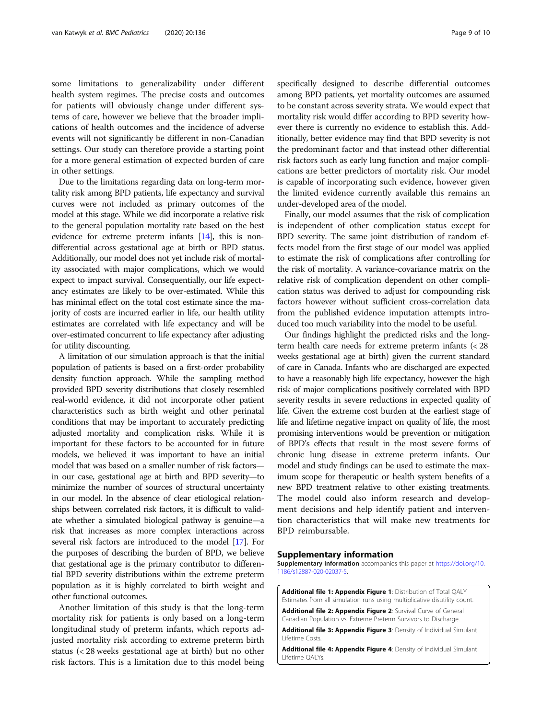<span id="page-8-0"></span>some limitations to generalizability under different health system regimes. The precise costs and outcomes for patients will obviously change under different systems of care, however we believe that the broader implications of health outcomes and the incidence of adverse events will not significantly be different in non-Canadian settings. Our study can therefore provide a starting point for a more general estimation of expected burden of care in other settings.

Due to the limitations regarding data on long-term mortality risk among BPD patients, life expectancy and survival curves were not included as primary outcomes of the model at this stage. While we did incorporate a relative risk to the general population mortality rate based on the best evidence for extreme preterm infants [\[14](#page-9-0)], this is nondifferential across gestational age at birth or BPD status. Additionally, our model does not yet include risk of mortality associated with major complications, which we would expect to impact survival. Consequentially, our life expectancy estimates are likely to be over-estimated. While this has minimal effect on the total cost estimate since the majority of costs are incurred earlier in life, our health utility estimates are correlated with life expectancy and will be over-estimated concurrent to life expectancy after adjusting for utility discounting.

A limitation of our simulation approach is that the initial population of patients is based on a first-order probability density function approach. While the sampling method provided BPD severity distributions that closely resembled real-world evidence, it did not incorporate other patient characteristics such as birth weight and other perinatal conditions that may be important to accurately predicting adjusted mortality and complication risks. While it is important for these factors to be accounted for in future models, we believed it was important to have an initial model that was based on a smaller number of risk factors in our case, gestational age at birth and BPD severity—to minimize the number of sources of structural uncertainty in our model. In the absence of clear etiological relationships between correlated risk factors, it is difficult to validate whether a simulated biological pathway is genuine—a risk that increases as more complex interactions across several risk factors are introduced to the model [[17\]](#page-9-0). For the purposes of describing the burden of BPD, we believe that gestational age is the primary contributor to differential BPD severity distributions within the extreme preterm population as it is highly correlated to birth weight and other functional outcomes.

Another limitation of this study is that the long-term mortality risk for patients is only based on a long-term longitudinal study of preterm infants, which reports adjusted mortality risk according to extreme preterm birth status (< 28 weeks gestational age at birth) but no other risk factors. This is a limitation due to this model being specifically designed to describe differential outcomes among BPD patients, yet mortality outcomes are assumed to be constant across severity strata. We would expect that mortality risk would differ according to BPD severity however there is currently no evidence to establish this. Additionally, better evidence may find that BPD severity is not the predominant factor and that instead other differential risk factors such as early lung function and major complications are better predictors of mortality risk. Our model is capable of incorporating such evidence, however given the limited evidence currently available this remains an under-developed area of the model.

Finally, our model assumes that the risk of complication is independent of other complication status except for BPD severity. The same joint distribution of random effects model from the first stage of our model was applied to estimate the risk of complications after controlling for the risk of mortality. A variance-covariance matrix on the relative risk of complication dependent on other complication status was derived to adjust for compounding risk factors however without sufficient cross-correlation data from the published evidence imputation attempts introduced too much variability into the model to be useful.

Our findings highlight the predicted risks and the longterm health care needs for extreme preterm infants (< 28 weeks gestational age at birth) given the current standard of care in Canada. Infants who are discharged are expected to have a reasonably high life expectancy, however the high risk of major complications positively correlated with BPD severity results in severe reductions in expected quality of life. Given the extreme cost burden at the earliest stage of life and lifetime negative impact on quality of life, the most promising interventions would be prevention or mitigation of BPD's effects that result in the most severe forms of chronic lung disease in extreme preterm infants. Our model and study findings can be used to estimate the maximum scope for therapeutic or health system benefits of a new BPD treatment relative to other existing treatments. The model could also inform research and development decisions and help identify patient and intervention characteristics that will make new treatments for BPD reimbursable.

### Supplementary information

Supplementary information accompanies this paper at [https://doi.org/10.](https://doi.org/10.1186/s12887-020-02037-5) [1186/s12887-020-02037-5](https://doi.org/10.1186/s12887-020-02037-5).

Additional file 1: Appendix Figure 1: Distribution of Total QALY Estimates from all simulation runs using multiplicative disutility count. Additional file 2: Appendix Figure 2: Survival Curve of General

Canadian Population vs. Extreme Preterm Survivors to Discharge.

Additional file 3: Appendix Figure 3: Density of Individual Simulant Lifetime Costs.

Additional file 4: Appendix Figure 4: Density of Individual Simulant Lifetime QALYs.